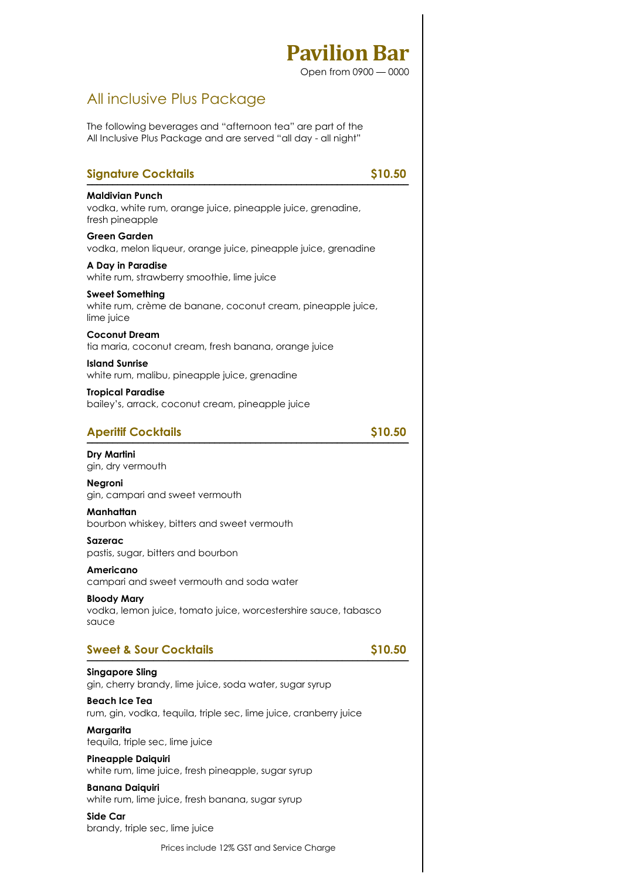Open from 0900 — 0000

### All inclusive Plus Package

The following beverages and "afternoon tea" are part of the All Inclusive Plus Package and are served "all day - all night"

| <b>Signature Cocktails</b>                                                                          | \$10.50 |
|-----------------------------------------------------------------------------------------------------|---------|
| Maldivian Punch<br>vodka, white rum, orange juice, pineapple juice, grenadine,<br>fresh pineapple   |         |
| <b>Green Garden</b><br>vodka, melon liqueur, orange juice, pineapple juice, grenadine               |         |
| A Day in Paradise<br>white rum, strawberry smoothie, lime juice                                     |         |
| <b>Sweet Something</b><br>white rum, crème de banane, coconut cream, pineapple juice,<br>lime juice |         |
| <b>Coconut Dream</b><br>tia maria, coconut cream, fresh banana, orange juice                        |         |
| <b>Island Sunrise</b><br>white rum, malibu, pineapple juice, grenadine                              |         |
| <b>Tropical Paradise</b><br>bailey's, arrack, coconut cream, pineapple juice                        |         |
| <b>Aperitif Cocktails</b>                                                                           | \$10.50 |
| <b>Dry Martini</b><br>gin, dry vermouth                                                             |         |
| <b>Negroni</b><br>gin, campari and sweet vermouth                                                   |         |
| Manhattan<br>bourbon whiskey, bitters and sweet vermouth                                            |         |
| Sazerac<br>pastis, sugar, bitters and bourbon                                                       |         |
| Americano<br>campari and sweet vermouth and soda water                                              |         |
| <b>Bloody Mary</b><br>vodka, lemon juice, tomato juice, worcestershire sauce, tabasco<br>sauce      |         |
| <b>Sweet &amp; Sour Cocktails</b>                                                                   | \$10.50 |
| <b>Singapore Sling</b><br>gin, cherry brandy, lime juice, soda water, sugar syrup                   |         |
| <b>Beach Ice Tea</b><br>rum, gin, vodka, tequila, triple sec, lime juice, cranberry juice           |         |
| Margarita<br>tequila, triple sec, lime juice                                                        |         |
| <b>Pineapple Daiquiri</b><br>white rum, lime juice, fresh pineapple, sugar syrup                    |         |
| <b>Banana Daiquiri</b><br>white rum, lime juice, fresh banana, sugar syrup                          |         |
| Side Car                                                                                            |         |

brandy, triple sec, lime juice

Prices include 12% GST and Service Charge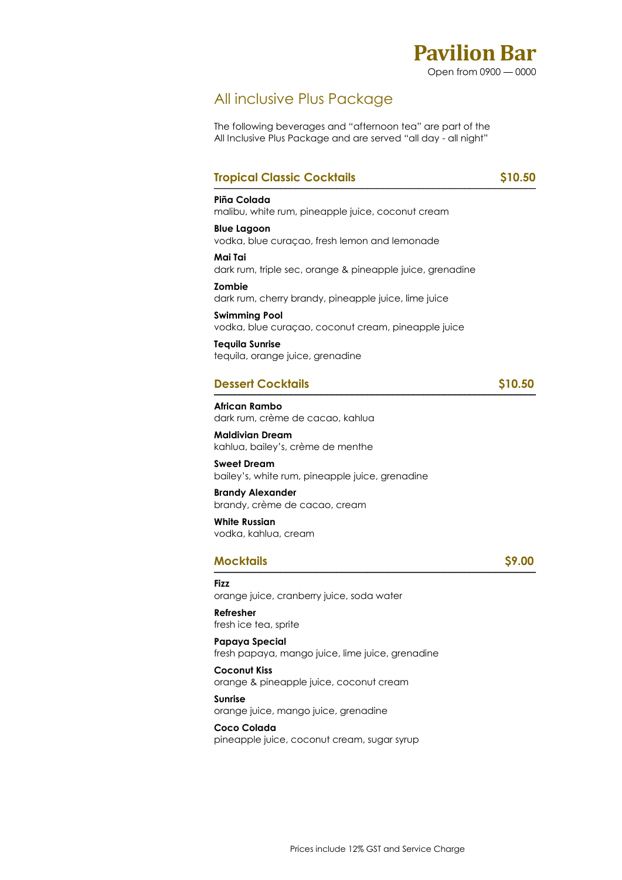

### All inclusive Plus Package

The following beverages and "afternoon tea" are part of the All Inclusive Plus Package and are served "all day - all night"

### **Tropical Classic Cocktails** \$10.50

### **Piña Colada**  malibu, white rum, pineapple juice, coconut cream

**Blue Lagoon**  vodka, blue curaçao, fresh lemon and lemonade

**Mai Tai**  dark rum, triple sec, orange & pineapple juice, grenadine

**Zombie**  dark rum, cherry brandy, pineapple juice, lime juice

**Swimming Pool**  vodka, blue curaçao, coconut cream, pineapple juice

**Tequila Sunrise**  tequila, orange juice, grenadine

### **Dessert Cocktails \$10.50**

**African Rambo**  dark rum, crème de cacao, kahlua

**Maldivian Dream**  kahlua, bailey's, crème de menthe

**Sweet Dream**  bailey's, white rum, pineapple juice, grenadine

**Brandy Alexander**  brandy, crème de cacao, cream

**White Russian**  vodka, kahlua, cream

#### **Mocktails \$9.00**   $MOCK$ TOIIS  $\frac{1}{2}$

**Fizz** 

orange juice, cranberry juice, soda water

**Refresher**  fresh ice tea, sprite

**Papaya Special**  fresh papaya, mango juice, lime juice, grenadine

**Coconut Kiss**  orange & pineapple juice, coconut cream

**Sunrise**  orange juice, mango juice, grenadine

**Coco Colada**  pineapple juice, coconut cream, sugar syrup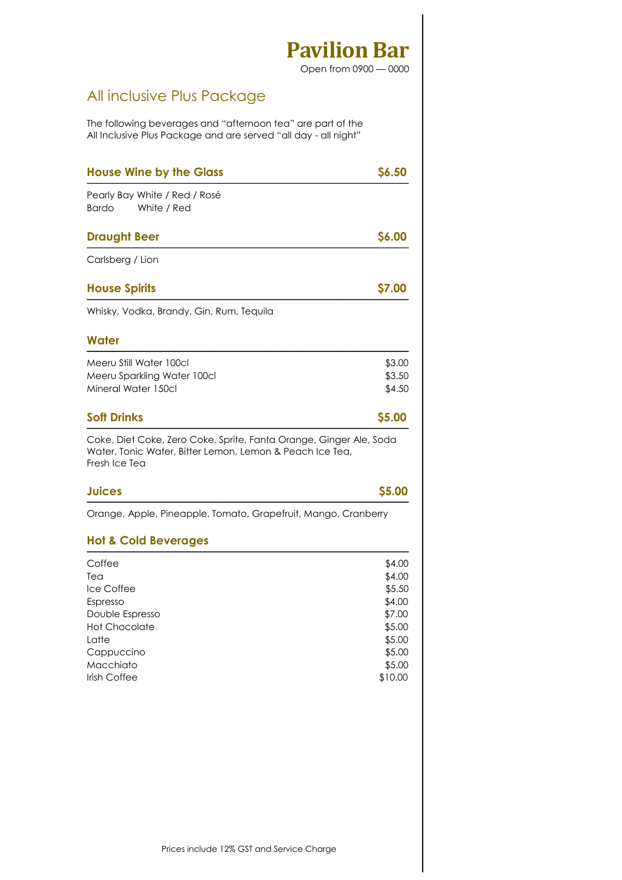Open from 0900 — 0000

## All inclusive Plus Package

The following beverages and "afternoon tea" are part of the All Inclusive Plus Package and are served "all day - all night"

| <b>House Wine by the Glass</b>                                                                                                                  | \$6.50           |
|-------------------------------------------------------------------------------------------------------------------------------------------------|------------------|
| Pearly Bay White / Red / Rosé<br><b>Bardo</b><br>White / Red                                                                                    |                  |
| <b>Draught Beer</b>                                                                                                                             | \$6.00           |
| Carlsberg / Lion                                                                                                                                |                  |
| <b>House Spirits</b>                                                                                                                            | \$7.00           |
| Whisky, Vodka, Brandy, Gin, Rum, Tequila                                                                                                        |                  |
| Water                                                                                                                                           |                  |
| Meeru Still Water 100cl                                                                                                                         | \$3.00           |
| Meeru Sparkling Water 100cl<br>Mineral Water 150cl                                                                                              | \$3.50<br>\$4.50 |
| <b>Soft Drinks</b>                                                                                                                              | \$5.00           |
| Coke, Diet Coke, Zero Coke, Sprite, Fanta Orange, Ginger Ale, Soda<br>Water, Tonic Water, Bitter Lemon, Lemon & Peach Ice Tea,<br>Fresh Ice Tea |                  |
| <b>Juices</b>                                                                                                                                   | \$5.00           |
| Orange, Apple, Pineapple, Tomato, Grapefruit, Mango, Cranberry                                                                                  |                  |
| <b>Hot &amp; Cold Beverages</b>                                                                                                                 |                  |
| Coffee                                                                                                                                          | \$4.00           |
| Tea                                                                                                                                             | \$4.00           |
| Ice Coffee                                                                                                                                      | \$5.50           |
| Espresso                                                                                                                                        | \$4.00           |
| Double Espresso                                                                                                                                 | \$7.00           |
| <b>Hot Chocolate</b><br>Latte                                                                                                                   | \$5.00           |
| Cappuccino                                                                                                                                      | \$5.00<br>\$5.00 |
| Macchiato                                                                                                                                       | \$5.00           |
| Irish Coffee                                                                                                                                    | \$10.00          |
|                                                                                                                                                 |                  |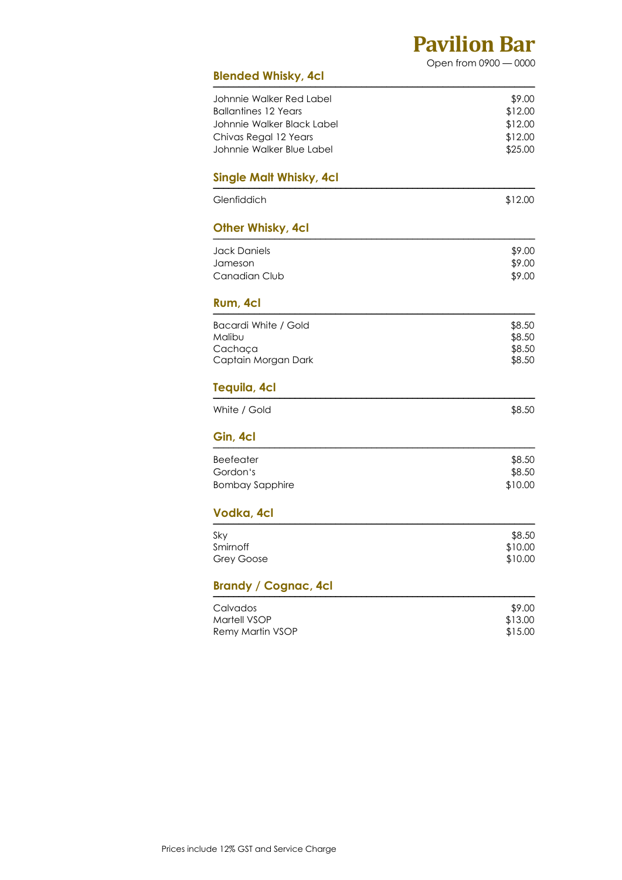Open from 0900 — 0000

| <b>Blended Whisky, 4cl</b>       |                  |
|----------------------------------|------------------|
| Johnnie Walker Red Label         | \$9.00           |
| <b>Ballantines 12 Years</b>      | \$12.00          |
| Johnnie Walker Black Label       | \$12.00          |
| Chivas Regal 12 Years            | \$12.00          |
| Johnnie Walker Blue Label        | \$25.00          |
| <b>Single Malt Whisky, 4cl</b>   |                  |
| Glenfiddich                      | \$12.00          |
| <b>Other Whisky, 4cl</b>         |                  |
| <b>Jack Daniels</b>              | \$9.00           |
| Jameson                          | \$9.00           |
| Canadian Club                    | \$9.00           |
| Rum, 4cl                         |                  |
| Bacardi White / Gold             | \$8.50           |
| Malibu                           | \$8.50           |
| Cachaca<br>Captain Morgan Dark   | \$8.50<br>\$8.50 |
|                                  |                  |
| Tequila, 4cl                     |                  |
| White / Gold                     | \$8.50           |
| Gin, 4cl                         |                  |
| <b>Beefeater</b>                 | \$8.50           |
| Gordon's                         | \$8.50           |
| <b>Bombay Sapphire</b>           | \$10.00          |
| Vodka, 4cl                       |                  |
| Sky                              | \$8.50           |
| Smirnoff                         | \$10.00          |
| <b>Grey Goose</b>                | \$10.00          |
| <b>Brandy / Cognac, 4cl</b>      |                  |
| Calvados                         | \$9.00           |
| Martell VSOP<br>Remy Martin VSOP | \$13.00          |
|                                  | \$15.00          |